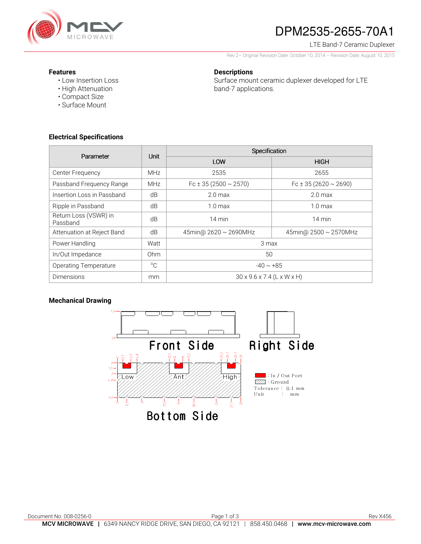

# DPM2535-2655-70A1

#### LTE Band-7 Ceramic Duplexer

Rev 2– Original Revision Date: October 10, 2014 – Revision Date: August 10, 2015

#### **Features**

• Low Insertion Loss • High Attenuation

### **Descriptions**

Surface mount ceramic duplexer developed for LTE band-7 applications.

**Electrical Specifications** 

• Compact Size • Surface Mount

| Parameter                         | Unit         | Specification                          |                                |
|-----------------------------------|--------------|----------------------------------------|--------------------------------|
|                                   |              | LOW                                    | <b>HIGH</b>                    |
| Center Frequency                  | <b>MHz</b>   | 2535                                   | 2655                           |
| Passband Frequency Range          | <b>MHz</b>   | Fc $\pm$ 35 (2500 $\sim$ 2570)         | Fc $\pm$ 35 (2620 $\sim$ 2690) |
| Insertion Loss in Passband        | dB           | 2.0 <sub>max</sub>                     | 2.0 <sub>max</sub>             |
| Ripple in Passband                | dB           | $1.0 \text{ max}$                      | 1.0 <sub>max</sub>             |
| Return Loss (VSWR) in<br>Passband | dB           | 14 min                                 | $14 \text{ min}$               |
| Attenuation at Reject Band        | dB           | 45min@ 2620 ~ 2690MHz                  | 45min@ 2500 ~ 2570MHz          |
| Power Handling                    | Watt         | 3 max                                  |                                |
| In/Out Impedance                  | Ohm          | 50                                     |                                |
| <b>Operating Temperature</b>      | $^{\circ}$ C | $-40 \sim +85$                         |                                |
| <b>Dimensions</b>                 | mm           | $30 \times 9.6 \times 7.4$ (L x W x H) |                                |

## **Mechanical Drawing**

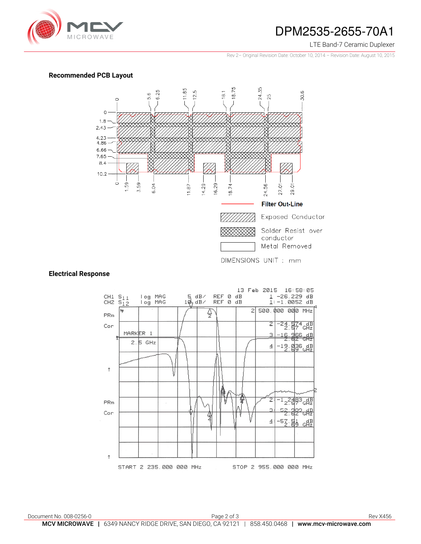

## DPM2535-2655-70A1

#### LTE Band-7 Ceramic Duplexer

Rev 2– Original Revision Date: October 10, 2014 – Revision Date: August 10, 2015

### **Recommended PCB Layout**



#### **Electrical Response**